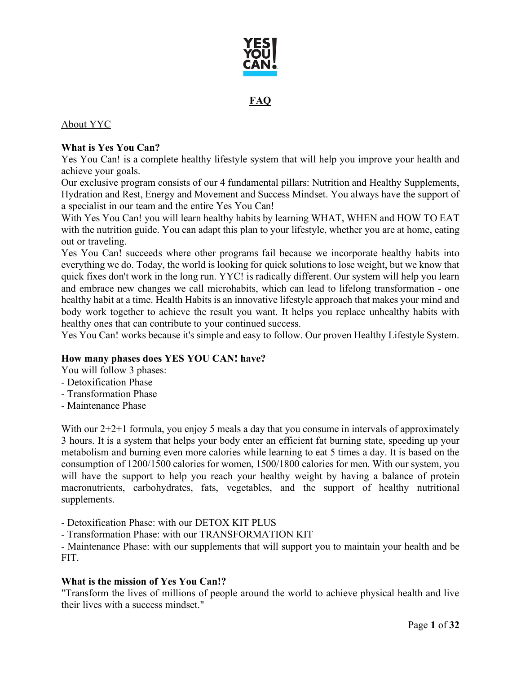

# **FAQ**

### About YYC

### **What is Yes You Can?**

Yes You Can! is a complete healthy lifestyle system that will help you improve your health and achieve your goals.

Our exclusive program consists of our 4 fundamental pillars: Nutrition and Healthy Supplements, Hydration and Rest, Energy and Movement and Success Mindset. You always have the support of a specialist in our team and the entire Yes You Can!

With Yes You Can! you will learn healthy habits by learning WHAT, WHEN and HOW TO EAT with the nutrition guide. You can adapt this plan to your lifestyle, whether you are at home, eating out or traveling.

Yes You Can! succeeds where other programs fail because we incorporate healthy habits into everything we do. Today, the world is looking for quick solutions to lose weight, but we know that quick fixes don't work in the long run. YYC! is radically different. Our system will help you learn and embrace new changes we call microhabits, which can lead to lifelong transformation - one healthy habit at a time. Health Habits is an innovative lifestyle approach that makes your mind and body work together to achieve the result you want. It helps you replace unhealthy habits with healthy ones that can contribute to your continued success.

Yes You Can! works because it's simple and easy to follow. Our proven Healthy Lifestyle System.

### **How many phases does YES YOU CAN! have?**

You will follow 3 phases:

- Detoxification Phase
- Transformation Phase
- Maintenance Phase

With our 2+2+1 formula, you enjoy 5 meals a day that you consume in intervals of approximately 3 hours. It is a system that helps your body enter an efficient fat burning state, speeding up your metabolism and burning even more calories while learning to eat 5 times a day. It is based on the consumption of 1200/1500 calories for women, 1500/1800 calories for men. With our system, you will have the support to help you reach your healthy weight by having a balance of protein macronutrients, carbohydrates, fats, vegetables, and the support of healthy nutritional supplements.

- Detoxification Phase: with our DETOX KIT PLUS

- Transformation Phase: with our TRANSFORMATION KIT

- Maintenance Phase: with our supplements that will support you to maintain your health and be FIT.

### **What is the mission of Yes You Can!?**

"Transform the lives of millions of people around the world to achieve physical health and live their lives with a success mindset."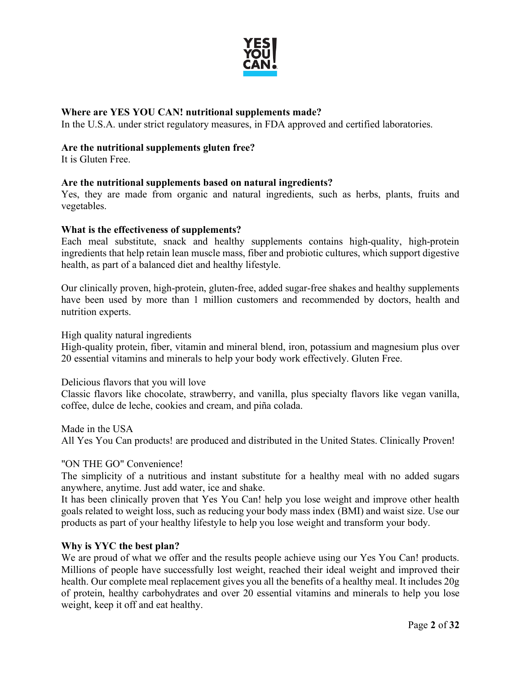

### **Where are YES YOU CAN! nutritional supplements made?**

In the U.S.A. under strict regulatory measures, in FDA approved and certified laboratories.

#### **Are the nutritional supplements gluten free?**

It is Gluten Free.

### **Are the nutritional supplements based on natural ingredients?**

Yes, they are made from organic and natural ingredients, such as herbs, plants, fruits and vegetables.

#### **What is the effectiveness of supplements?**

Each meal substitute, snack and healthy supplements contains high-quality, high-protein ingredients that help retain lean muscle mass, fiber and probiotic cultures, which support digestive health, as part of a balanced diet and healthy lifestyle.

Our clinically proven, high-protein, gluten-free, added sugar-free shakes and healthy supplements have been used by more than 1 million customers and recommended by doctors, health and nutrition experts.

High quality natural ingredients

High-quality protein, fiber, vitamin and mineral blend, iron, potassium and magnesium plus over 20 essential vitamins and minerals to help your body work effectively. Gluten Free.

Delicious flavors that you will love

Classic flavors like chocolate, strawberry, and vanilla, plus specialty flavors like vegan vanilla, coffee, dulce de leche, cookies and cream, and piña colada.

Made in the USA All Yes You Can products! are produced and distributed in the United States. Clinically Proven!

### "ON THE GO" Convenience!

The simplicity of a nutritious and instant substitute for a healthy meal with no added sugars anywhere, anytime. Just add water, ice and shake.

It has been clinically proven that Yes You Can! help you lose weight and improve other health goals related to weight loss, such as reducing your body mass index (BMI) and waist size. Use our products as part of your healthy lifestyle to help you lose weight and transform your body.

### **Why is YYC the best plan?**

We are proud of what we offer and the results people achieve using our Yes You Can! products. Millions of people have successfully lost weight, reached their ideal weight and improved their health. Our complete meal replacement gives you all the benefits of a healthy meal. It includes 20g of protein, healthy carbohydrates and over 20 essential vitamins and minerals to help you lose weight, keep it off and eat healthy.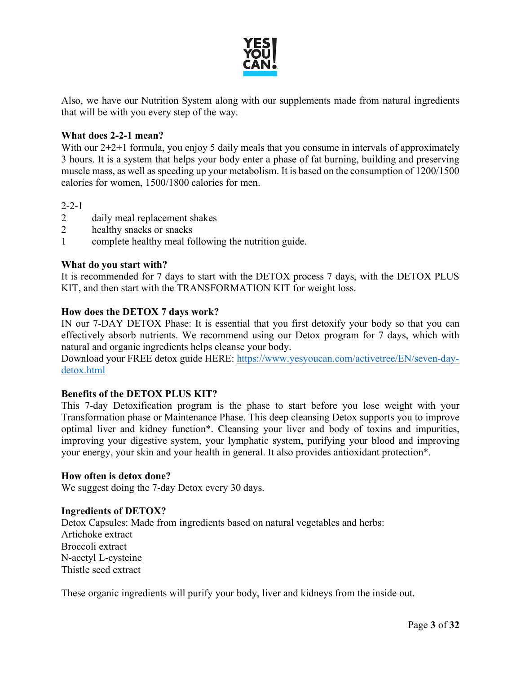

Also, we have our Nutrition System along with our supplements made from natural ingredients that will be with you every step of the way.

### **What does 2-2-1 mean?**

With our  $2+2+1$  formula, you enjoy 5 daily meals that you consume in intervals of approximately 3 hours. It is a system that helps your body enter a phase of fat burning, building and preserving muscle mass, as well as speeding up your metabolism. It is based on the consumption of 1200/1500 calories for women, 1500/1800 calories for men.

2-2-1

- 2 daily meal replacement shakes
- 2 healthy snacks or snacks
- 1 complete healthy meal following the nutrition guide.

#### **What do you start with?**

It is recommended for 7 days to start with the DETOX process 7 days, with the DETOX PLUS KIT, and then start with the TRANSFORMATION KIT for weight loss.

### **How does the DETOX 7 days work?**

IN our 7-DAY DETOX Phase: It is essential that you first detoxify your body so that you can effectively absorb nutrients. We recommend using our Detox program for 7 days, which with natural and organic ingredients helps cleanse your body.

Download your FREE detox guide HERE: [https://www.yesyoucan.com/activetree/EN/seven-day](https://www.yesyoucan.com/activetree/EN/seven-day-detox.html)[detox.html](https://www.yesyoucan.com/activetree/EN/seven-day-detox.html)

### **Benefits of the DETOX PLUS KIT?**

This 7-day Detoxification program is the phase to start before you lose weight with your Transformation phase or Maintenance Phase. This deep cleansing Detox supports you to improve optimal liver and kidney function\*. Cleansing your liver and body of toxins and impurities, improving your digestive system, your lymphatic system, purifying your blood and improving your energy, your skin and your health in general. It also provides antioxidant protection\*.

#### **How often is detox done?**

We suggest doing the 7-day Detox every 30 days.

#### **Ingredients of DETOX?**

Detox Capsules: Made from ingredients based on natural vegetables and herbs: Artichoke extract Broccoli extract N-acetyl L-cysteine Thistle seed extract

These organic ingredients will purify your body, liver and kidneys from the inside out.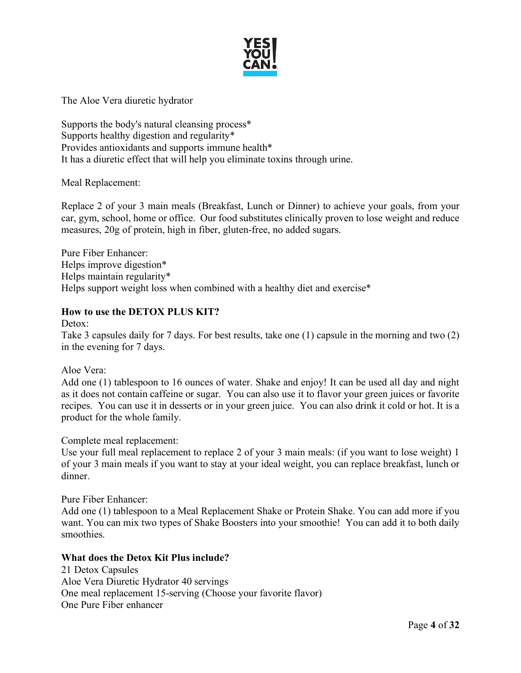

The Aloe Vera diuretic hydrator

Supports the body's natural cleansing process\* Supports healthy digestion and regularity\* Provides antioxidants and supports immune health\* It has a diuretic effect that will help you eliminate toxins through urine.

Meal Replacement:

Replace 2 of your 3 main meals (Breakfast, Lunch or Dinner) to achieve your goals, from your car, gym, school, home or office. Our food substitutes clinically proven to lose weight and reduce measures, 20g of protein, high in fiber, gluten-free, no added sugars.

Pure Fiber Enhancer: Helps improve digestion\* Helps maintain regularity\* Helps support weight loss when combined with a healthy diet and exercise\*

### **How to use the DETOX PLUS KIT?**

Detox: Take 3 capsules daily for 7 days. For best results, take one (1) capsule in the morning and two (2) in the evening for 7 days.

Aloe Vera:

Add one (1) tablespoon to 16 ounces of water. Shake and enjoy! It can be used all day and night as it does not contain caffeine or sugar. You can also use it to flavor your green juices or favorite recipes. You can use it in desserts or in your green juice. You can also drink it cold or hot. It is a product for the whole family.

#### Complete meal replacement:

Use your full meal replacement to replace 2 of your 3 main meals: (if you want to lose weight) 1 of your 3 main meals if you want to stay at your ideal weight, you can replace breakfast, lunch or dinner.

Pure Fiber Enhancer:

Add one (1) tablespoon to a Meal Replacement Shake or Protein Shake. You can add more if you want. You can mix two types of Shake Boosters into your smoothie! You can add it to both daily smoothies.

### **What does the Detox Kit Plus include?**

21 Detox Capsules Aloe Vera Diuretic Hydrator 40 servings One meal replacement 15-serving (Choose your favorite flavor) One Pure Fiber enhancer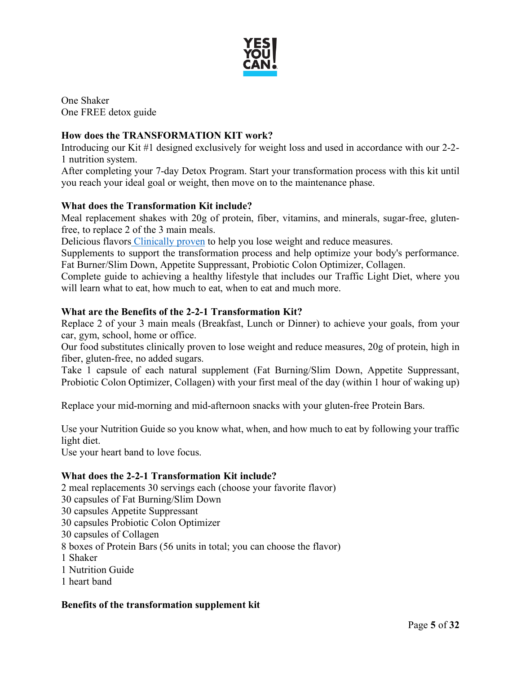

One Shaker One FREE detox guide

# **How does the TRANSFORMATION KIT work?**

Introducing our Kit #1 designed exclusively for weight loss and used in accordance with our 2-2- 1 nutrition system.

After completing your 7-day Detox Program. Start your transformation process with this kit until you reach your ideal goal or weight, then move on to the maintenance phase.

### **What does the Transformation Kit include?**

Meal replacement shakes with 20g of protein, fiber, vitamins, and minerals, sugar-free, glutenfree, to replace 2 of the 3 main meals.

Delicious flavors [Clinically proven](https://www.yesyoucan.com/activetree/ES/clinicalstudy.html) to help you lose weight and reduce measures.

Supplements to support the transformation process and help optimize your body's performance. Fat Burner/Slim Down, Appetite Suppressant, Probiotic Colon Optimizer, Collagen.

Complete guide to achieving a healthy lifestyle that includes our Traffic Light Diet, where you will learn what to eat, how much to eat, when to eat and much more.

### **What are the Benefits of the 2-2-1 Transformation Kit?**

Replace 2 of your 3 main meals (Breakfast, Lunch or Dinner) to achieve your goals, from your car, gym, school, home or office.

Our food substitutes clinically proven to lose weight and reduce measures, 20g of protein, high in fiber, gluten-free, no added sugars.

Take 1 capsule of each natural supplement (Fat Burning/Slim Down, Appetite Suppressant, Probiotic Colon Optimizer, Collagen) with your first meal of the day (within 1 hour of waking up)

Replace your mid-morning and mid-afternoon snacks with your gluten-free Protein Bars.

Use your Nutrition Guide so you know what, when, and how much to eat by following your traffic light diet.

Use your heart band to love focus.

### **What does the 2-2-1 Transformation Kit include?**

2 meal replacements 30 servings each (choose your favorite flavor) 30 capsules of Fat Burning/Slim Down 30 capsules Appetite Suppressant 30 capsules Probiotic Colon Optimizer 30 capsules of Collagen 8 boxes of Protein Bars (56 units in total; you can choose the flavor) 1 Shaker 1 Nutrition Guide 1 heart band

### **Benefits of the transformation supplement kit**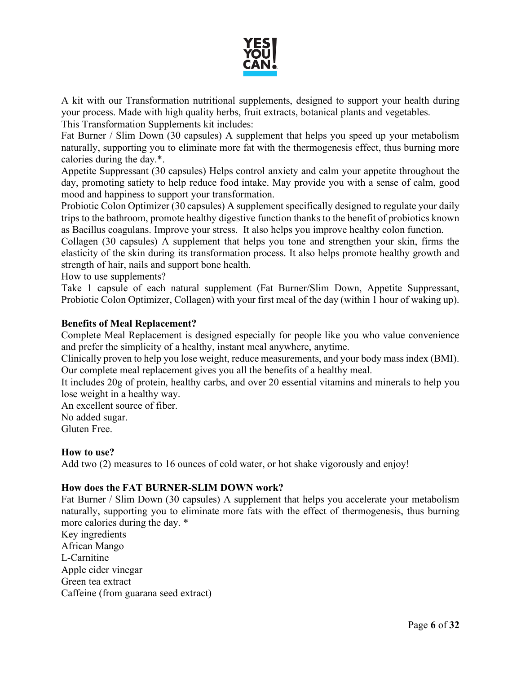

A kit with our Transformation nutritional supplements, designed to support your health during your process. Made with high quality herbs, fruit extracts, botanical plants and vegetables. This Transformation Supplements kit includes:

Fat Burner / Slim Down (30 capsules) A supplement that helps you speed up your metabolism naturally, supporting you to eliminate more fat with the thermogenesis effect, thus burning more calories during the day.\*.

Appetite Suppressant (30 capsules) Helps control anxiety and calm your appetite throughout the day, promoting satiety to help reduce food intake. May provide you with a sense of calm, good mood and happiness to support your transformation.

Probiotic Colon Optimizer (30 capsules) A supplement specifically designed to regulate your daily trips to the bathroom, promote healthy digestive function thanks to the benefit of probiotics known as Bacillus coagulans. Improve your stress. It also helps you improve healthy colon function.

Collagen (30 capsules) A supplement that helps you tone and strengthen your skin, firms the elasticity of the skin during its transformation process. It also helps promote healthy growth and strength of hair, nails and support bone health.

How to use supplements?

Take 1 capsule of each natural supplement (Fat Burner/Slim Down, Appetite Suppressant, Probiotic Colon Optimizer, Collagen) with your first meal of the day (within 1 hour of waking up).

### **Benefits of Meal Replacement?**

Complete Meal Replacement is designed especially for people like you who value convenience and prefer the simplicity of a healthy, instant meal anywhere, anytime.

Clinically proven to help you lose weight, reduce measurements, and your body mass index (BMI). Our complete meal replacement gives you all the benefits of a healthy meal.

It includes 20g of protein, healthy carbs, and over 20 essential vitamins and minerals to help you lose weight in a healthy way.

An excellent source of fiber. No added sugar. Gluten Free.

### **How to use?**

Add two (2) measures to 16 ounces of cold water, or hot shake vigorously and enjoy!

# **How does the FAT BURNER-SLIM DOWN work?**

Fat Burner / Slim Down (30 capsules) A supplement that helps you accelerate your metabolism naturally, supporting you to eliminate more fats with the effect of thermogenesis, thus burning more calories during the day. \*

Key ingredients African Mango L-Carnitine Apple cider vinegar Green tea extract Caffeine (from guarana seed extract)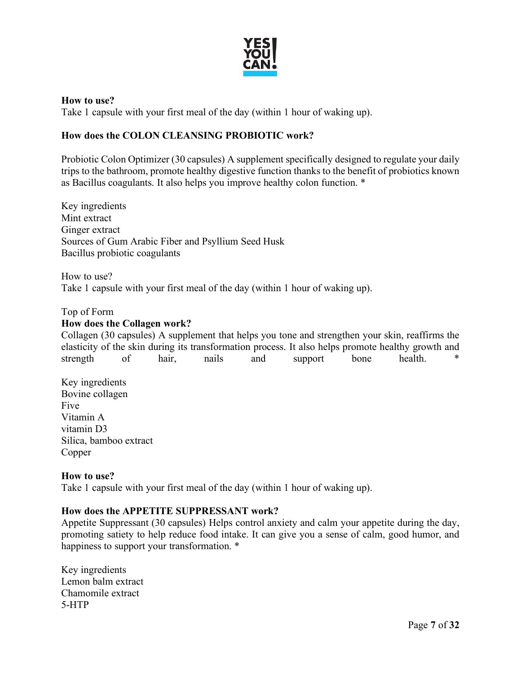

#### **How to use?**

Take 1 capsule with your first meal of the day (within 1 hour of waking up).

### **How does the COLON CLEANSING PROBIOTIC work?**

Probiotic Colon Optimizer (30 capsules) A supplement specifically designed to regulate your daily trips to the bathroom, promote healthy digestive function thanks to the benefit of probiotics known as Bacillus coagulants. It also helps you improve healthy colon function. \*

Key ingredients Mint extract Ginger extract Sources of Gum Arabic Fiber and Psyllium Seed Husk Bacillus probiotic coagulants

How to use? Take 1 capsule with your first meal of the day (within 1 hour of waking up).

#### Top of Form

### **How does the Collagen work?**

Collagen (30 capsules) A supplement that helps you tone and strengthen your skin, reaffirms the elasticity of the skin during its transformation process. It also helps promote healthy growth and strength of hair, nails and support bone health. \*

Key ingredients Bovine collagen Five Vitamin A vitamin D3 Silica, bamboo extract Copper

#### **How to use?**

Take 1 capsule with your first meal of the day (within 1 hour of waking up).

### **How does the APPETITE SUPPRESSANT work?**

Appetite Suppressant (30 capsules) Helps control anxiety and calm your appetite during the day, promoting satiety to help reduce food intake. It can give you a sense of calm, good humor, and happiness to support your transformation.  $*$ 

Key ingredients Lemon balm extract Chamomile extract 5-HTP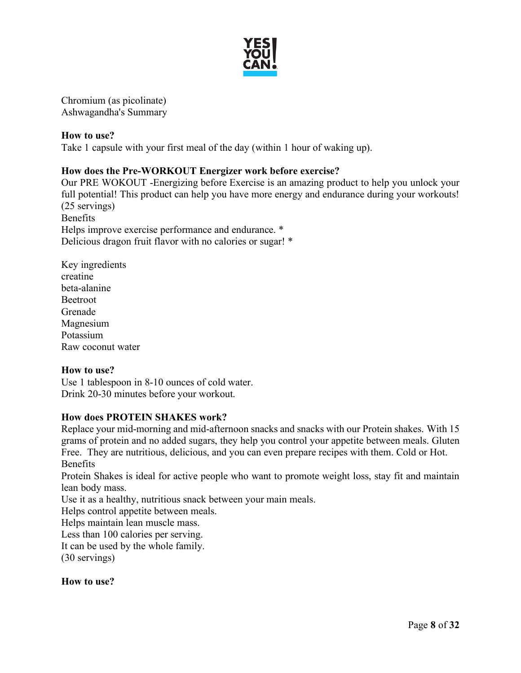

Chromium (as picolinate) Ashwagandha's Summary

### **How to use?** Take 1 capsule with your first meal of the day (within 1 hour of waking up).

# **How does the Pre-WORKOUT Energizer work before exercise?**

Our PRE WOKOUT -Energizing before Exercise is an amazing product to help you unlock your full potential! This product can help you have more energy and endurance during your workouts! (25 servings) Benefits Helps improve exercise performance and endurance. \* Delicious dragon fruit flavor with no calories or sugar! \*

Key ingredients creatine beta-alanine Beetroot Grenade Magnesium Potassium Raw coconut water

### **How to use?**

Use 1 tablespoon in 8-10 ounces of cold water. Drink 20-30 minutes before your workout.

### **How does PROTEIN SHAKES work?**

Replace your mid-morning and mid-afternoon snacks and snacks with our Protein shakes. With 15 grams of protein and no added sugars, they help you control your appetite between meals. Gluten Free. They are nutritious, delicious, and you can even prepare recipes with them. Cold or Hot. Benefits

Protein Shakes is ideal for active people who want to promote weight loss, stay fit and maintain lean body mass.

Use it as a healthy, nutritious snack between your main meals.

Helps control appetite between meals.

Helps maintain lean muscle mass.

Less than 100 calories per serving.

It can be used by the whole family.

(30 servings)

### **How to use?**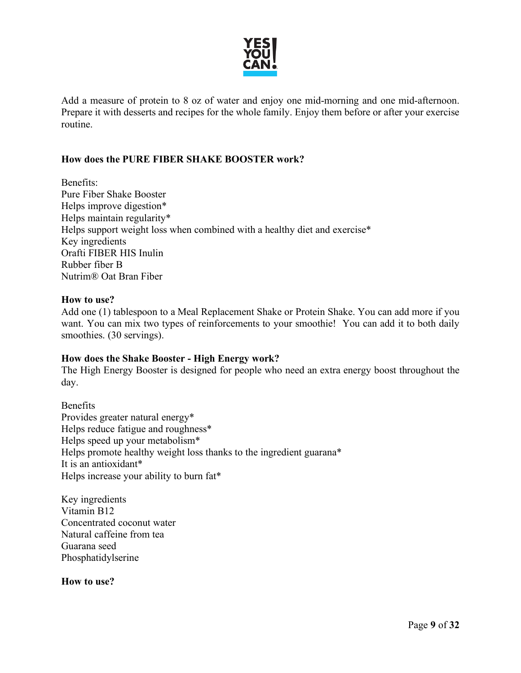

Add a measure of protein to 8 oz of water and enjoy one mid-morning and one mid-afternoon. Prepare it with desserts and recipes for the whole family. Enjoy them before or after your exercise routine.

### **How does the PURE FIBER SHAKE BOOSTER work?**

Benefits: Pure Fiber Shake Booster Helps improve digestion\* Helps maintain regularity\* Helps support weight loss when combined with a healthy diet and exercise\* Key ingredients Orafti FIBER HIS Inulin Rubber fiber B Nutrim® Oat Bran Fiber

#### **How to use?**

Add one (1) tablespoon to a Meal Replacement Shake or Protein Shake. You can add more if you want. You can mix two types of reinforcements to your smoothie! You can add it to both daily smoothies. (30 servings).

#### **How does the Shake Booster - High Energy work?**

The High Energy Booster is designed for people who need an extra energy boost throughout the day.

Benefits Provides greater natural energy\* Helps reduce fatigue and roughness\* Helps speed up your metabolism\* Helps promote healthy weight loss thanks to the ingredient guarana\* It is an antioxidant\* Helps increase your ability to burn fat\*

Key ingredients Vitamin B12 Concentrated coconut water Natural caffeine from tea Guarana seed Phosphatidylserine

**How to use?**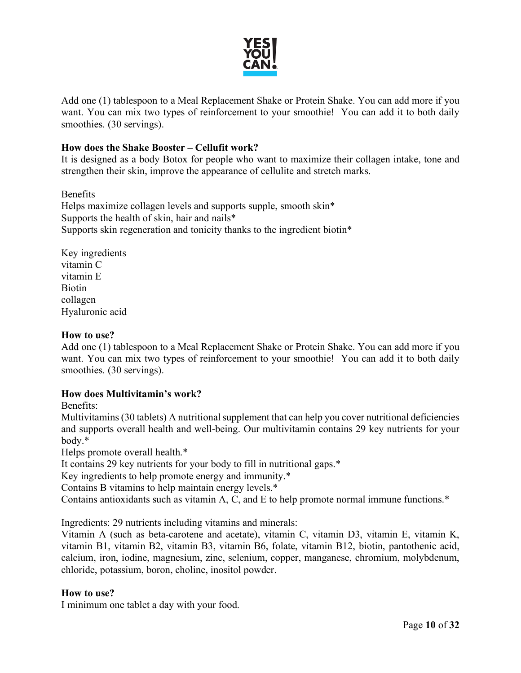

Add one (1) tablespoon to a Meal Replacement Shake or Protein Shake. You can add more if you want. You can mix two types of reinforcement to your smoothie! You can add it to both daily smoothies. (30 servings).

### **How does the Shake Booster – Cellufit work?**

It is designed as a body Botox for people who want to maximize their collagen intake, tone and strengthen their skin, improve the appearance of cellulite and stretch marks.

Benefits Helps maximize collagen levels and supports supple, smooth skin\* Supports the health of skin, hair and nails\* Supports skin regeneration and tonicity thanks to the ingredient biotin\*

Key ingredients vitamin C vitamin E Biotin collagen Hyaluronic acid

#### **How to use?**

Add one (1) tablespoon to a Meal Replacement Shake or Protein Shake. You can add more if you want. You can mix two types of reinforcement to your smoothie! You can add it to both daily smoothies. (30 servings).

### **How does Multivitamin's work?**

Benefits:

Multivitamins (30 tablets) A nutritional supplement that can help you cover nutritional deficiencies and supports overall health and well-being. Our multivitamin contains 29 key nutrients for your body.\*

Helps promote overall health.\*

It contains 29 key nutrients for your body to fill in nutritional gaps.\*

Key ingredients to help promote energy and immunity.\*

Contains B vitamins to help maintain energy levels.\*

Contains antioxidants such as vitamin A, C, and E to help promote normal immune functions.\*

Ingredients: 29 nutrients including vitamins and minerals:

Vitamin A (such as beta-carotene and acetate), vitamin C, vitamin D3, vitamin E, vitamin K, vitamin B1, vitamin B2, vitamin B3, vitamin B6, folate, vitamin B12, biotin, pantothenic acid, calcium, iron, iodine, magnesium, zinc, selenium, copper, manganese, chromium, molybdenum, chloride, potassium, boron, choline, inositol powder.

### **How to use?**

I minimum one tablet a day with your food.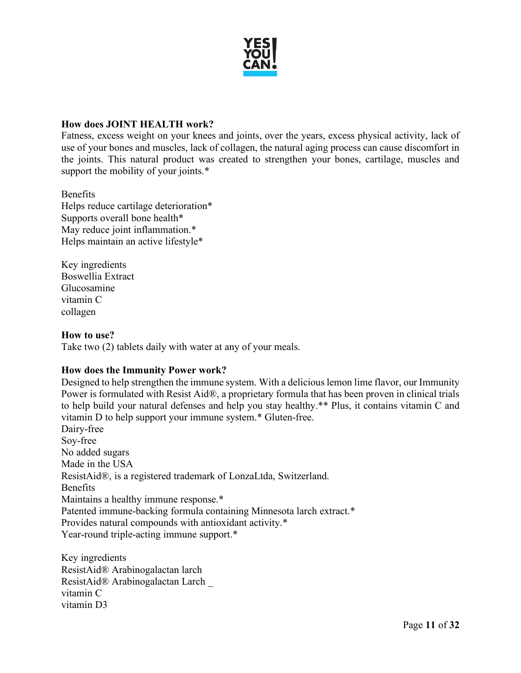

### **How does JOINT HEALTH work?**

Fatness, excess weight on your knees and joints, over the years, excess physical activity, lack of use of your bones and muscles, lack of collagen, the natural aging process can cause discomfort in the joints. This natural product was created to strengthen your bones, cartilage, muscles and support the mobility of your joints.\*

#### Benefits

Helps reduce cartilage deterioration\* Supports overall bone health\* May reduce joint inflammation.\* Helps maintain an active lifestyle\*

Key ingredients Boswellia Extract Glucosamine vitamin C collagen

#### **How to use?**

Take two (2) tablets daily with water at any of your meals.

### **How does the Immunity Power work?**

Designed to help strengthen the immune system. With a delicious lemon lime flavor, our Immunity Power is formulated with Resist Aid®, a proprietary formula that has been proven in clinical trials to help build your natural defenses and help you stay healthy.\*\* Plus, it contains vitamin C and vitamin D to help support your immune system.\* Gluten-free.

Dairy-free Soy-free No added sugars Made in the USA ResistAid®, is a registered trademark of LonzaLtda, Switzerland. Benefits Maintains a healthy immune response.\* Patented immune-backing formula containing Minnesota larch extract.\* Provides natural compounds with antioxidant activity.\* Year-round triple-acting immune support.\*

Key ingredients ResistAid® Arabinogalactan larch ResistAid® Arabinogalactan Larch \_ vitamin C vitamin D3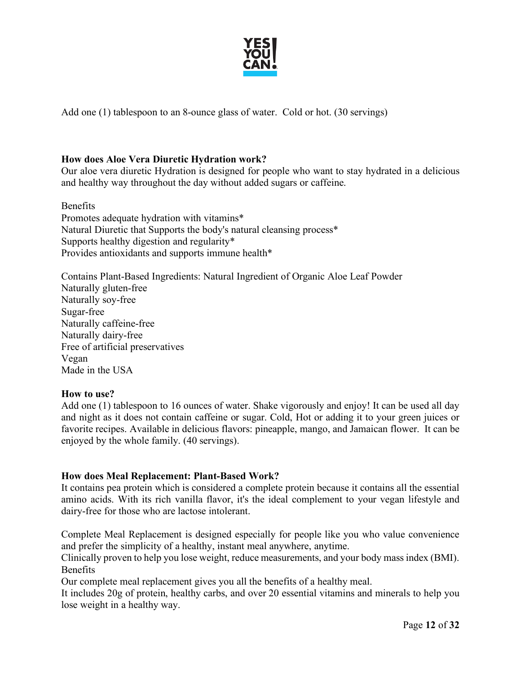

Add one (1) tablespoon to an 8-ounce glass of water. Cold or hot. (30 servings)

### **How does Aloe Vera Diuretic Hydration work?**

Our aloe vera diuretic Hydration is designed for people who want to stay hydrated in a delicious and healthy way throughout the day without added sugars or caffeine.

Benefits Promotes adequate hydration with vitamins\* Natural Diuretic that Supports the body's natural cleansing process\* Supports healthy digestion and regularity\* Provides antioxidants and supports immune health\*

Contains Plant-Based Ingredients: Natural Ingredient of Organic Aloe Leaf Powder Naturally gluten-free Naturally soy-free Sugar-free Naturally caffeine-free Naturally dairy-free Free of artificial preservatives Vegan Made in the USA

### **How to use?**

Add one (1) tablespoon to 16 ounces of water. Shake vigorously and enjoy! It can be used all day and night as it does not contain caffeine or sugar. Cold, Hot or adding it to your green juices or favorite recipes. Available in delicious flavors: pineapple, mango, and Jamaican flower. It can be enjoyed by the whole family. (40 servings).

### **How does Meal Replacement: Plant-Based Work?**

It contains pea protein which is considered a complete protein because it contains all the essential amino acids. With its rich vanilla flavor, it's the ideal complement to your vegan lifestyle and dairy-free for those who are lactose intolerant.

Complete Meal Replacement is designed especially for people like you who value convenience and prefer the simplicity of a healthy, instant meal anywhere, anytime.

Clinically proven to help you lose weight, reduce measurements, and your body mass index (BMI). Benefits

Our complete meal replacement gives you all the benefits of a healthy meal.

It includes 20g of protein, healthy carbs, and over 20 essential vitamins and minerals to help you lose weight in a healthy way.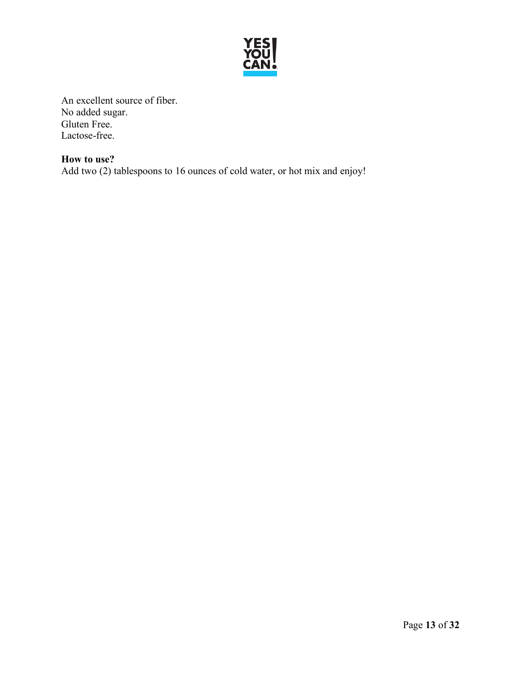

An excellent source of fiber. No added sugar. Gluten Free. Lactose-free.

**How to use?** Add two (2) tablespoons to 16 ounces of cold water, or hot mix and enjoy!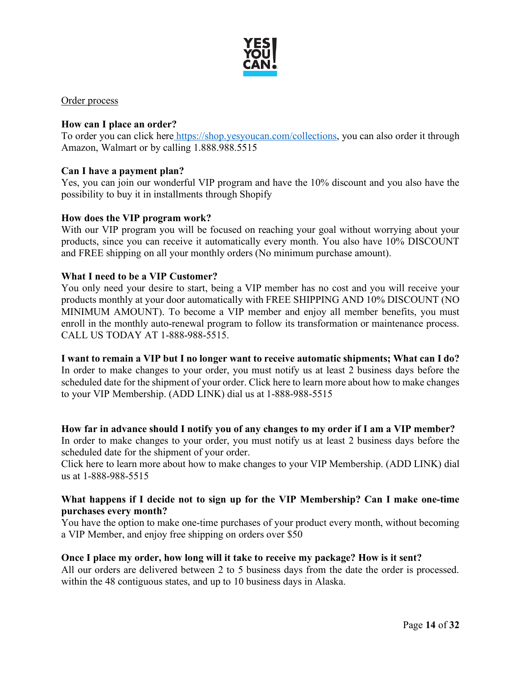

Order process

### **How can I place an order?**

To order you can click here [https://shop.yesyoucan.com/collections,](https://shop.yesyoucan.com/collections) you can also order it through Amazon, Walmart or by calling 1.888.988.5515

### **Can I have a payment plan?**

Yes, you can join our wonderful VIP program and have the 10% discount and you also have the possibility to buy it in installments through Shopify

### **How does the VIP program work?**

With our VIP program you will be focused on reaching your goal without worrying about your products, since you can receive it automatically every month. You also have 10% DISCOUNT and FREE shipping on all your monthly orders (No minimum purchase amount).

### **What I need to be a VIP Customer?**

You only need your desire to start, being a VIP member has no cost and you will receive your products monthly at your door automatically with FREE SHIPPING AND 10% DISCOUNT (NO MINIMUM AMOUNT). To become a VIP member and enjoy all member benefits, you must enroll in the monthly auto-renewal program to follow its transformation or maintenance process. CALL US TODAY AT 1-888-988-5515.

**I want to remain a VIP but I no longer want to receive automatic shipments; What can I do?** In order to make changes to your order, you must notify us at least 2 business days before the scheduled date for the shipment of your order. Click here to learn more about how to make changes to your VIP Membership. (ADD LINK) dial us at 1-888-988-5515

### **How far in advance should I notify you of any changes to my order if I am a VIP member?**

In order to make changes to your order, you must notify us at least 2 business days before the scheduled date for the shipment of your order.

Click here to learn more about how to make changes to your VIP Membership. (ADD LINK) dial us at 1-888-988-5515

### **What happens if I decide not to sign up for the VIP Membership? Can I make one-time purchases every month?**

You have the option to make one-time purchases of your product every month, without becoming a VIP Member, and enjoy free shipping on orders over \$50

### **Once I place my order, how long will it take to receive my package? How is it sent?**

All our orders are delivered between 2 to 5 business days from the date the order is processed. within the 48 contiguous states, and up to 10 business days in Alaska.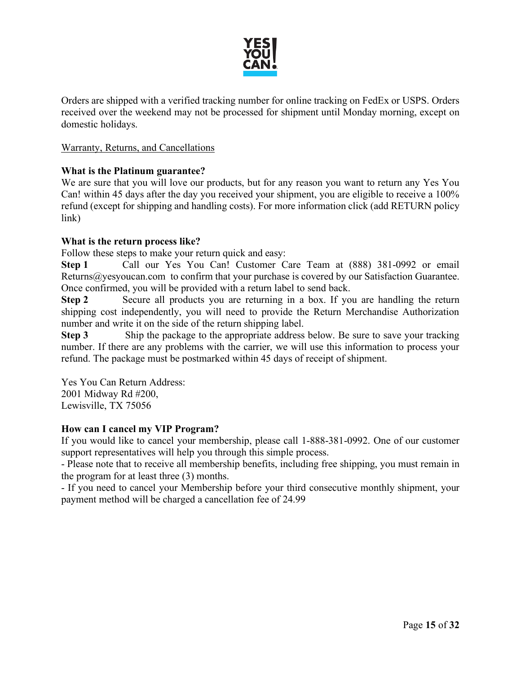

Orders are shipped with a verified tracking number for online tracking on FedEx or USPS. Orders received over the weekend may not be processed for shipment until Monday morning, except on domestic holidays.

### Warranty, Returns, and Cancellations

### **What is the Platinum guarantee?**

We are sure that you will love our products, but for any reason you want to return any Yes You Can! within 45 days after the day you received your shipment, you are eligible to receive a 100% refund (except for shipping and handling costs). For more information click (add RETURN policy link)

### **What is the return process like?**

Follow these steps to make your return quick and easy:

**Step 1** Call our Yes You Can! Customer Care Team at (888) 381-0992 or email Returns@yesyoucan.com to confirm that your purchase is covered by our Satisfaction Guarantee. Once confirmed, you will be provided with a return label to send back.

**Step 2** Secure all products you are returning in a box. If you are handling the return shipping cost independently, you will need to provide the Return Merchandise Authorization number and write it on the side of the return shipping label.

**Step 3** Ship the package to the appropriate address below. Be sure to save your tracking number. If there are any problems with the carrier, we will use this information to process your refund. The package must be postmarked within 45 days of receipt of shipment.

Yes You Can Return Address: 2001 Midway Rd #200, Lewisville, TX 75056

### **How can I cancel my VIP Program?**

If you would like to cancel your membership, please call 1-888-381-0992. One of our customer support representatives will help you through this simple process.

- Please note that to receive all membership benefits, including free shipping, you must remain in the program for at least three (3) months.

- If you need to cancel your Membership before your third consecutive monthly shipment, your payment method will be charged a cancellation fee of 24.99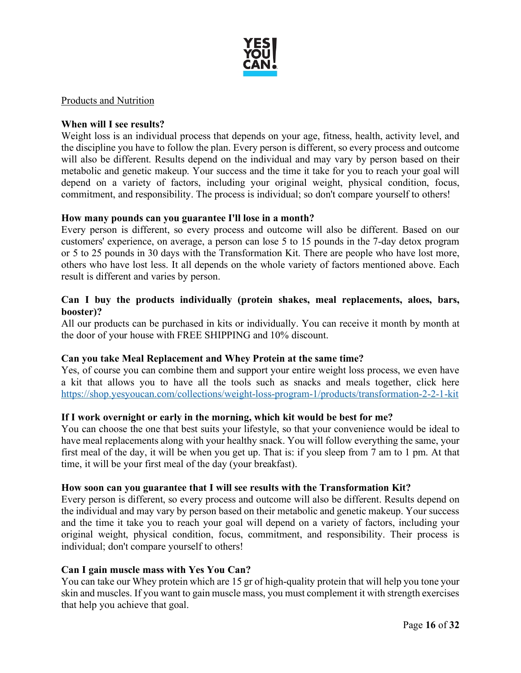

#### Products and Nutrition

### **When will I see results?**

Weight loss is an individual process that depends on your age, fitness, health, activity level, and the discipline you have to follow the plan. Every person is different, so every process and outcome will also be different. Results depend on the individual and may vary by person based on their metabolic and genetic makeup. Your success and the time it take for you to reach your goal will depend on a variety of factors, including your original weight, physical condition, focus, commitment, and responsibility. The process is individual; so don't compare yourself to others!

#### **How many pounds can you guarantee I'll lose in a month?**

Every person is different, so every process and outcome will also be different. Based on our customers' experience, on average, a person can lose 5 to 15 pounds in the 7-day detox program or 5 to 25 pounds in 30 days with the Transformation Kit. There are people who have lost more, others who have lost less. It all depends on the whole variety of factors mentioned above. Each result is different and varies by person.

#### **Can I buy the products individually (protein shakes, meal replacements, aloes, bars, booster)?**

All our products can be purchased in kits or individually. You can receive it month by month at the door of your house with FREE SHIPPING and 10% discount.

#### **Can you take Meal Replacement and Whey Protein at the same time?**

Yes, of course you can combine them and support your entire weight loss process, we even have a kit that allows you to have all the tools such as snacks and meals together, click her[e](https://shop.yesyoucan.com/collections/weight-loss-program-1/products/transformation-2-2-1-kit) <https://shop.yesyoucan.com/collections/weight-loss-program-1/products/transformation-2-2-1-kit>

#### **If I work overnight or early in the morning, which kit would be best for me?**

You can choose the one that best suits your lifestyle, so that your convenience would be ideal to have meal replacements along with your healthy snack. You will follow everything the same, your first meal of the day, it will be when you get up. That is: if you sleep from 7 am to 1 pm. At that time, it will be your first meal of the day (your breakfast).

#### **How soon can you guarantee that I will see results with the Transformation Kit?**

Every person is different, so every process and outcome will also be different. Results depend on the individual and may vary by person based on their metabolic and genetic makeup. Your success and the time it take you to reach your goal will depend on a variety of factors, including your original weight, physical condition, focus, commitment, and responsibility. Their process is individual; don't compare yourself to others!

#### **Can I gain muscle mass with Yes You Can?**

You can take our Whey protein which are 15 gr of high-quality protein that will help you tone your skin and muscles. If you want to gain muscle mass, you must complement it with strength exercises that help you achieve that goal.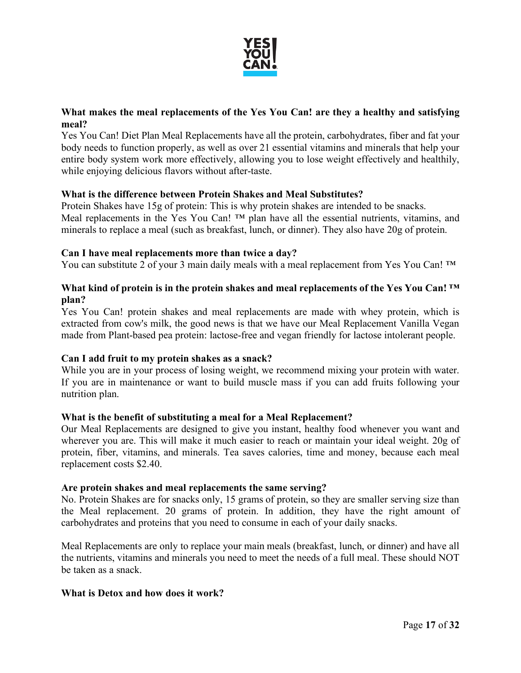

# **What makes the meal replacements of the Yes You Can! are they a healthy and satisfying meal?**

Yes You Can! Diet Plan Meal Replacements have all the protein, carbohydrates, fiber and fat your body needs to function properly, as well as over 21 essential vitamins and minerals that help your entire body system work more effectively, allowing you to lose weight effectively and healthily, while enjoying delicious flavors without after-taste.

### **What is the difference between Protein Shakes and Meal Substitutes?**

Protein Shakes have 15g of protein: This is why protein shakes are intended to be snacks. Meal replacements in the Yes You Can! ™ plan have all the essential nutrients, vitamins, and minerals to replace a meal (such as breakfast, lunch, or dinner). They also have 20g of protein.

### **Can I have meal replacements more than twice a day?**

You can substitute 2 of your 3 main daily meals with a meal replacement from Yes You Can! ™

### **What kind of protein is in the protein shakes and meal replacements of the Yes You Can! ™ plan?**

Yes You Can! protein shakes and meal replacements are made with whey protein, which is extracted from cow's milk, the good news is that we have our Meal Replacement Vanilla Vegan made from Plant-based pea protein: lactose-free and vegan friendly for lactose intolerant people.

# **Can I add fruit to my protein shakes as a snack?**

While you are in your process of losing weight, we recommend mixing your protein with water. If you are in maintenance or want to build muscle mass if you can add fruits following your nutrition plan.

### **What is the benefit of substituting a meal for a Meal Replacement?**

Our Meal Replacements are designed to give you instant, healthy food whenever you want and wherever you are. This will make it much easier to reach or maintain your ideal weight. 20g of protein, fiber, vitamins, and minerals. Tea saves calories, time and money, because each meal replacement costs \$2.40.

### **Are protein shakes and meal replacements the same serving?**

No. Protein Shakes are for snacks only, 15 grams of protein, so they are smaller serving size than the Meal replacement. 20 grams of protein. In addition, they have the right amount of carbohydrates and proteins that you need to consume in each of your daily snacks.

Meal Replacements are only to replace your main meals (breakfast, lunch, or dinner) and have all the nutrients, vitamins and minerals you need to meet the needs of a full meal. These should NOT be taken as a snack.

### **What is Detox and how does it work?**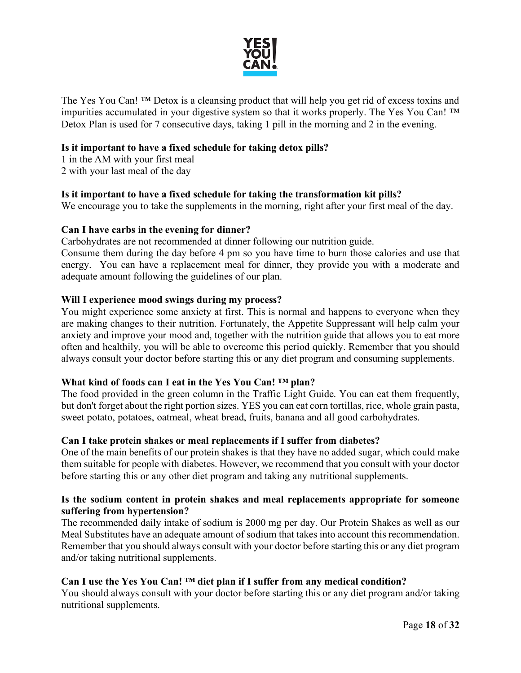

The Yes You Can! ™ Detox is a cleansing product that will help you get rid of excess toxins and impurities accumulated in your digestive system so that it works properly. The Yes You Can! ™ Detox Plan is used for 7 consecutive days, taking 1 pill in the morning and 2 in the evening.

### **Is it important to have a fixed schedule for taking detox pills?**

1 in the AM with your first meal 2 with your last meal of the day

### **Is it important to have a fixed schedule for taking the transformation kit pills?**

We encourage you to take the supplements in the morning, right after your first meal of the day.

### **Can I have carbs in the evening for dinner?**

Carbohydrates are not recommended at dinner following our nutrition guide.

Consume them during the day before 4 pm so you have time to burn those calories and use that energy. You can have a replacement meal for dinner, they provide you with a moderate and adequate amount following the guidelines of our plan.

### **Will I experience mood swings during my process?**

You might experience some anxiety at first. This is normal and happens to everyone when they are making changes to their nutrition. Fortunately, the Appetite Suppressant will help calm your anxiety and improve your mood and, together with the nutrition guide that allows you to eat more often and healthily, you will be able to overcome this period quickly. Remember that you should always consult your doctor before starting this or any diet program and consuming supplements.

### **What kind of foods can I eat in the Yes You Can! ™ plan?**

The food provided in the green column in the Traffic Light Guide. You can eat them frequently, but don't forget about the right portion sizes. YES you can eat corn tortillas, rice, whole grain pasta, sweet potato, potatoes, oatmeal, wheat bread, fruits, banana and all good carbohydrates.

### **Can I take protein shakes or meal replacements if I suffer from diabetes?**

One of the main benefits of our protein shakes is that they have no added sugar, which could make them suitable for people with diabetes. However, we recommend that you consult with your doctor before starting this or any other diet program and taking any nutritional supplements.

### **Is the sodium content in protein shakes and meal replacements appropriate for someone suffering from hypertension?**

The recommended daily intake of sodium is 2000 mg per day. Our Protein Shakes as well as our Meal Substitutes have an adequate amount of sodium that takes into account this recommendation. Remember that you should always consult with your doctor before starting this or any diet program and/or taking nutritional supplements.

# **Can I use the Yes You Can! ™ diet plan if I suffer from any medical condition?**

You should always consult with your doctor before starting this or any diet program and/or taking nutritional supplements.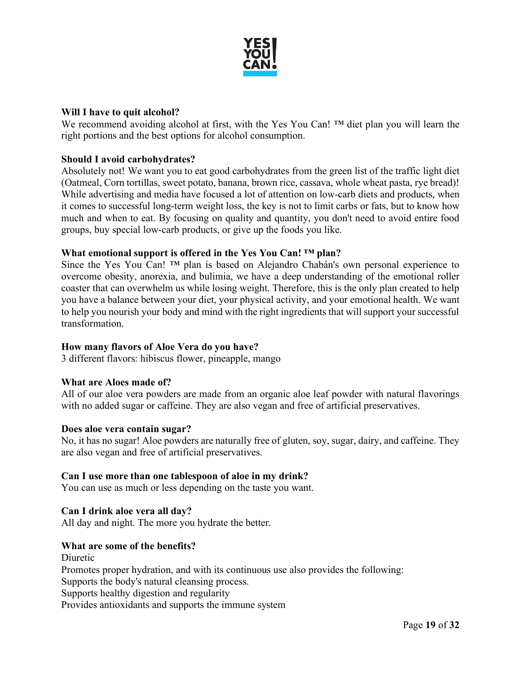

### **Will I have to quit alcohol?**

We recommend avoiding alcohol at first, with the Yes You Can! ™ diet plan you will learn the right portions and the best options for alcohol consumption.

### **Should I avoid carbohydrates?**

Absolutely not! We want you to eat good carbohydrates from the green list of the traffic light diet (Oatmeal, Corn tortillas, sweet potato, banana, brown rice, cassava, whole wheat pasta, rye bread)! While advertising and media have focused a lot of attention on low-carb diets and products, when it comes to successful long-term weight loss, the key is not to limit carbs or fats, but to know how much and when to eat. By focusing on quality and quantity, you don't need to avoid entire food groups, buy special low-carb products, or give up the foods you like.

### **What emotional support is offered in the Yes You Can! ™ plan?**

Since the Yes You Can! ™ plan is based on Alejandro Chabán's own personal experience to overcome obesity, anorexia, and bulimia, we have a deep understanding of the emotional roller coaster that can overwhelm us while losing weight. Therefore, this is the only plan created to help you have a balance between your diet, your physical activity, and your emotional health. We want to help you nourish your body and mind with the right ingredients that will support your successful transformation.

### **How many flavors of Aloe Vera do you have?**

3 different flavors: hibiscus flower, pineapple, mango

### **What are Aloes made of?**

All of our aloe vera powders are made from an organic aloe leaf powder with natural flavorings with no added sugar or caffeine. They are also vegan and free of artificial preservatives.

### **Does aloe vera contain sugar?**

No, it has no sugar! Aloe powders are naturally free of gluten, soy, sugar, dairy, and caffeine. They are also vegan and free of artificial preservatives.

### **Can I use more than one tablespoon of aloe in my drink?**

You can use as much or less depending on the taste you want.

### **Can I drink aloe vera all day?**

All day and night. The more you hydrate the better.

### **What are some of the benefits?**

Diuretic Promotes proper hydration, and with its continuous use also provides the following: Supports the body's natural cleansing process. Supports healthy digestion and regularity Provides antioxidants and supports the immune system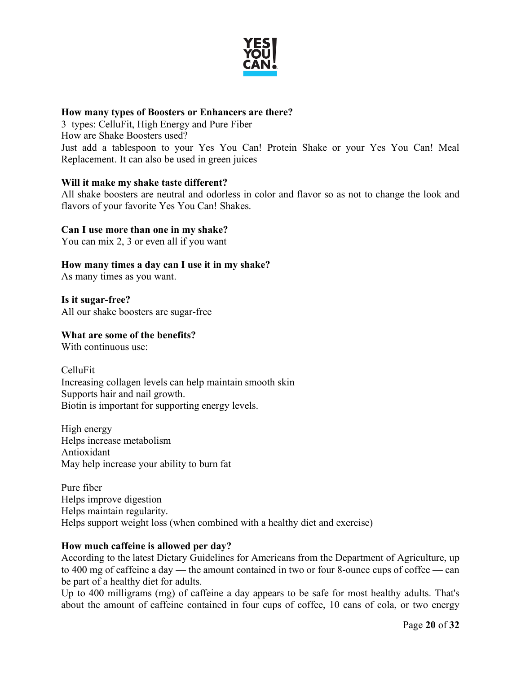

### **How many types of Boosters or Enhancers are there?**

3 types: CelluFit, High Energy and Pure Fiber How are Shake Boosters used? Just add a tablespoon to your Yes You Can! Protein Shake or your Yes You Can! Meal Replacement. It can also be used in green juices

# **Will it make my shake taste different?**

All shake boosters are neutral and odorless in color and flavor so as not to change the look and flavors of your favorite Yes You Can! Shakes.

### **Can I use more than one in my shake?**

You can mix 2, 3 or even all if you want

**How many times a day can I use it in my shake?**

As many times as you want.

**Is it sugar-free?** All our shake boosters are sugar-free

# **What are some of the benefits?**

With continuous use:

CelluFit Increasing collagen levels can help maintain smooth skin Supports hair and nail growth. Biotin is important for supporting energy levels.

High energy Helps increase metabolism Antioxidant May help increase your ability to burn fat

Pure fiber Helps improve digestion Helps maintain regularity. Helps support weight loss (when combined with a healthy diet and exercise)

# **How much caffeine is allowed per day?**

According to the latest Dietary Guidelines for Americans from the Department of Agriculture, up to 400 mg of caffeine a day — the amount contained in two or four 8-ounce cups of coffee — can be part of a healthy diet for adults.

Up to 400 milligrams (mg) of caffeine a day appears to be safe for most healthy adults. That's about the amount of caffeine contained in four cups of coffee, 10 cans of cola, or two energy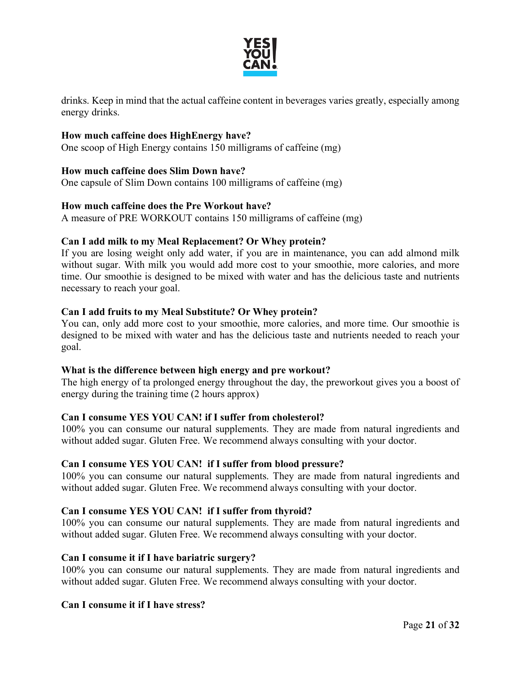

drinks. Keep in mind that the actual caffeine content in beverages varies greatly, especially among energy drinks.

### **How much caffeine does HighEnergy have?**

One scoop of High Energy contains 150 milligrams of caffeine (mg)

### **How much caffeine does Slim Down have?**

One capsule of Slim Down contains 100 milligrams of caffeine (mg)

### **How much caffeine does the Pre Workout have?**

A measure of PRE WORKOUT contains 150 milligrams of caffeine (mg)

### **Can I add milk to my Meal Replacement? Or Whey protein?**

If you are losing weight only add water, if you are in maintenance, you can add almond milk without sugar. With milk you would add more cost to your smoothie, more calories, and more time. Our smoothie is designed to be mixed with water and has the delicious taste and nutrients necessary to reach your goal.

### **Can I add fruits to my Meal Substitute? Or Whey protein?**

You can, only add more cost to your smoothie, more calories, and more time. Our smoothie is designed to be mixed with water and has the delicious taste and nutrients needed to reach your goal.

### **What is the difference between high energy and pre workout?**

The high energy of ta prolonged energy throughout the day, the preworkout gives you a boost of energy during the training time (2 hours approx)

### **Can I consume YES YOU CAN! if I suffer from cholesterol?**

100% you can consume our natural supplements. They are made from natural ingredients and without added sugar. Gluten Free. We recommend always consulting with your doctor.

### **Can I consume YES YOU CAN! if I suffer from blood pressure?**

100% you can consume our natural supplements. They are made from natural ingredients and without added sugar. Gluten Free. We recommend always consulting with your doctor.

# **Can I consume YES YOU CAN! if I suffer from thyroid?**

100% you can consume our natural supplements. They are made from natural ingredients and without added sugar. Gluten Free. We recommend always consulting with your doctor.

### **Can I consume it if I have bariatric surgery?**

100% you can consume our natural supplements. They are made from natural ingredients and without added sugar. Gluten Free. We recommend always consulting with your doctor.

### **Can I consume it if I have stress?**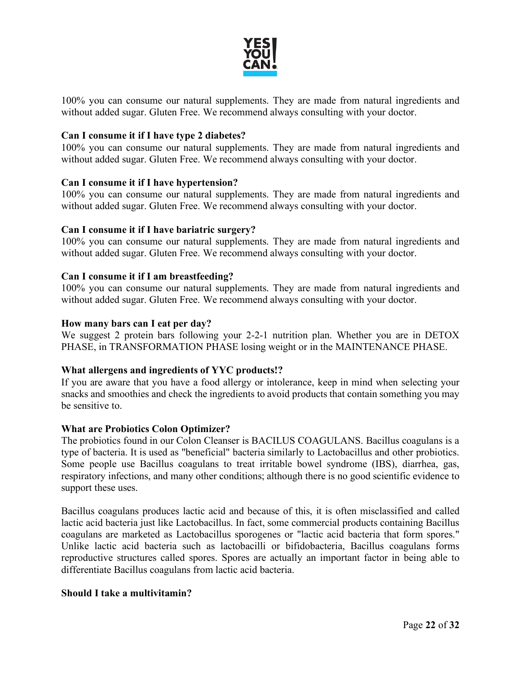

100% you can consume our natural supplements. They are made from natural ingredients and without added sugar. Gluten Free. We recommend always consulting with your doctor.

### **Can I consume it if I have type 2 diabetes?**

100% you can consume our natural supplements. They are made from natural ingredients and without added sugar. Gluten Free. We recommend always consulting with your doctor.

### **Can I consume it if I have hypertension?**

100% you can consume our natural supplements. They are made from natural ingredients and without added sugar. Gluten Free. We recommend always consulting with your doctor.

### **Can I consume it if I have bariatric surgery?**

100% you can consume our natural supplements. They are made from natural ingredients and without added sugar. Gluten Free. We recommend always consulting with your doctor.

### **Can I consume it if I am breastfeeding?**

100% you can consume our natural supplements. They are made from natural ingredients and without added sugar. Gluten Free. We recommend always consulting with your doctor.

### **How many bars can I eat per day?**

We suggest 2 protein bars following your 2-2-1 nutrition plan. Whether you are in DETOX PHASE, in TRANSFORMATION PHASE losing weight or in the MAINTENANCE PHASE.

### **What allergens and ingredients of YYC products!?**

If you are aware that you have a food allergy or intolerance, keep in mind when selecting your snacks and smoothies and check the ingredients to avoid products that contain something you may be sensitive to.

### **What are Probiotics Colon Optimizer?**

The probiotics found in our Colon Cleanser is BACILUS COAGULANS. Bacillus coagulans is a type of bacteria. It is used as "beneficial" bacteria similarly to Lactobacillus and other probiotics. Some people use Bacillus coagulans to treat irritable bowel syndrome (IBS), diarrhea, gas, respiratory infections, and many other conditions; although there is no good scientific evidence to support these uses.

Bacillus coagulans produces lactic acid and because of this, it is often misclassified and called lactic acid bacteria just like Lactobacillus. In fact, some commercial products containing Bacillus coagulans are marketed as Lactobacillus sporogenes or "lactic acid bacteria that form spores." Unlike lactic acid bacteria such as lactobacilli or bifidobacteria, Bacillus coagulans forms reproductive structures called spores. Spores are actually an important factor in being able to differentiate Bacillus coagulans from lactic acid bacteria.

### **Should I take a multivitamin?**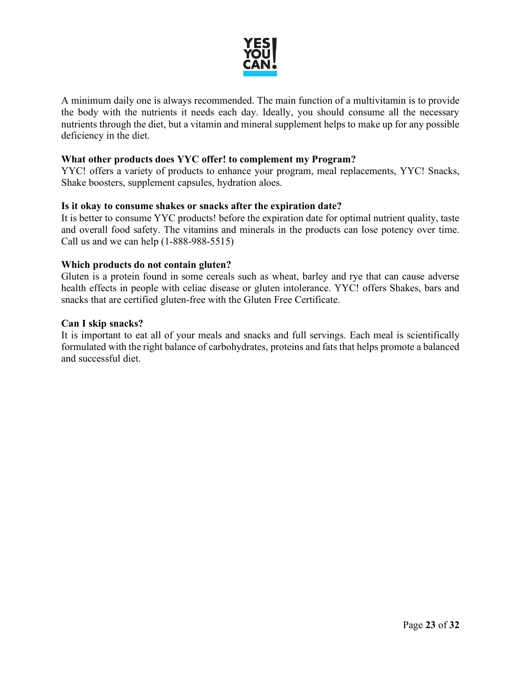

A minimum daily one is always recommended. The main function of a multivitamin is to provide the body with the nutrients it needs each day. Ideally, you should consume all the necessary nutrients through the diet, but a vitamin and mineral supplement helps to make up for any possible deficiency in the diet.

### **What other products does YYC offer! to complement my Program?**

YYC! offers a variety of products to enhance your program, meal replacements, YYC! Snacks, Shake boosters, supplement capsules, hydration aloes.

### **Is it okay to consume shakes or snacks after the expiration date?**

It is better to consume YYC products! before the expiration date for optimal nutrient quality, taste and overall food safety. The vitamins and minerals in the products can lose potency over time. Call us and we can help (1-888-988-5515)

### **Which products do not contain gluten?**

Gluten is a protein found in some cereals such as wheat, barley and rye that can cause adverse health effects in people with celiac disease or gluten intolerance. YYC! offers Shakes, bars and snacks that are certified gluten-free with the Gluten Free Certificate.

#### **Can I skip snacks?**

It is important to eat all of your meals and snacks and full servings. Each meal is scientifically formulated with the right balance of carbohydrates, proteins and fats that helps promote a balanced and successful diet.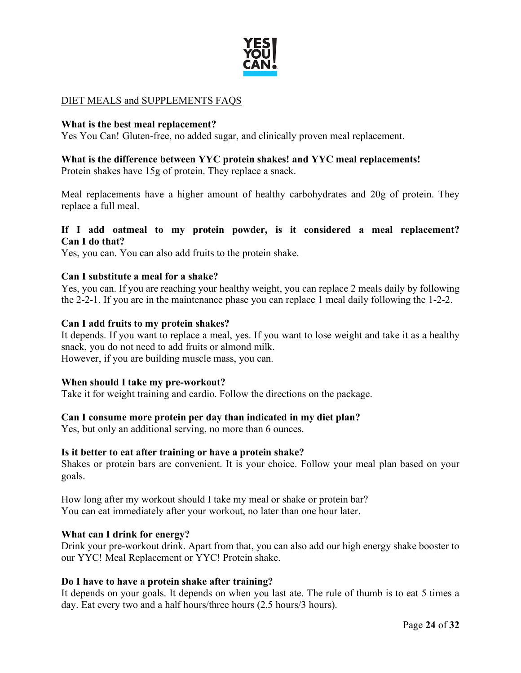

# DIET MEALS and SUPPLEMENTS FAQS

### **What is the best meal replacement?**

Yes You Can! Gluten-free, no added sugar, and clinically proven meal replacement.

# **What is the difference between YYC protein shakes! and YYC meal replacements!**

Protein shakes have 15g of protein. They replace a snack.

Meal replacements have a higher amount of healthy carbohydrates and 20g of protein. They replace a full meal.

### **If I add oatmeal to my protein powder, is it considered a meal replacement? Can I do that?**

Yes, you can. You can also add fruits to the protein shake.

### **Can I substitute a meal for a shake?**

Yes, you can. If you are reaching your healthy weight, you can replace 2 meals daily by following the 2-2-1. If you are in the maintenance phase you can replace 1 meal daily following the 1-2-2.

### **Can I add fruits to my protein shakes?**

It depends. If you want to replace a meal, yes. If you want to lose weight and take it as a healthy snack, you do not need to add fruits or almond milk. However, if you are building muscle mass, you can.

### **When should I take my pre-workout?**

Take it for weight training and cardio. Follow the directions on the package.

### **Can I consume more protein per day than indicated in my diet plan?**

Yes, but only an additional serving, no more than 6 ounces.

### **Is it better to eat after training or have a protein shake?**

Shakes or protein bars are convenient. It is your choice. Follow your meal plan based on your goals.

How long after my workout should I take my meal or shake or protein bar? You can eat immediately after your workout, no later than one hour later.

### **What can I drink for energy?**

Drink your pre-workout drink. Apart from that, you can also add our high energy shake booster to our YYC! Meal Replacement or YYC! Protein shake.

### **Do I have to have a protein shake after training?**

It depends on your goals. It depends on when you last ate. The rule of thumb is to eat 5 times a day. Eat every two and a half hours/three hours (2.5 hours/3 hours).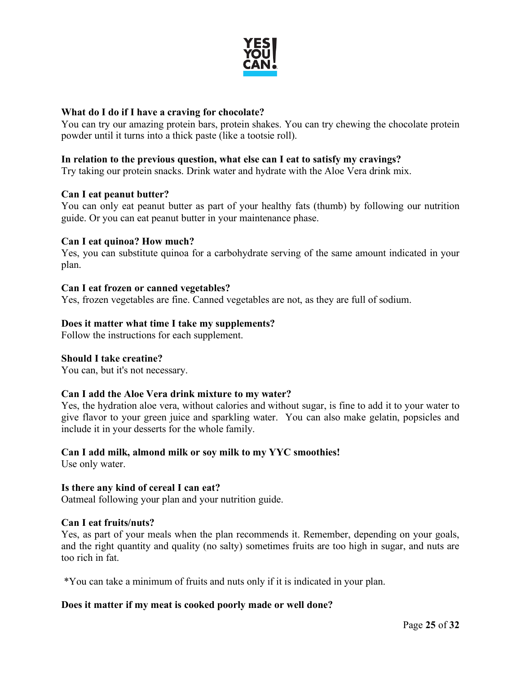

### **What do I do if I have a craving for chocolate?**

You can try our amazing protein bars, protein shakes. You can try chewing the chocolate protein powder until it turns into a thick paste (like a tootsie roll).

### **In relation to the previous question, what else can I eat to satisfy my cravings?**

Try taking our protein snacks. Drink water and hydrate with the Aloe Vera drink mix.

### **Can I eat peanut butter?**

You can only eat peanut butter as part of your healthy fats (thumb) by following our nutrition guide. Or you can eat peanut butter in your maintenance phase.

### **Can I eat quinoa? How much?**

Yes, you can substitute quinoa for a carbohydrate serving of the same amount indicated in your plan.

#### **Can I eat frozen or canned vegetables?**

Yes, frozen vegetables are fine. Canned vegetables are not, as they are full of sodium.

#### **Does it matter what time I take my supplements?**

Follow the instructions for each supplement.

#### **Should I take creatine?**

You can, but it's not necessary.

### **Can I add the Aloe Vera drink mixture to my water?**

Yes, the hydration aloe vera, without calories and without sugar, is fine to add it to your water to give flavor to your green juice and sparkling water. You can also make gelatin, popsicles and include it in your desserts for the whole family.

### **Can I add milk, almond milk or soy milk to my YYC smoothies!**

Use only water.

### **Is there any kind of cereal I can eat?**

Oatmeal following your plan and your nutrition guide.

#### **Can I eat fruits/nuts?**

Yes, as part of your meals when the plan recommends it. Remember, depending on your goals, and the right quantity and quality (no salty) sometimes fruits are too high in sugar, and nuts are too rich in fat.

\*You can take a minimum of fruits and nuts only if it is indicated in your plan.

### **Does it matter if my meat is cooked poorly made or well done?**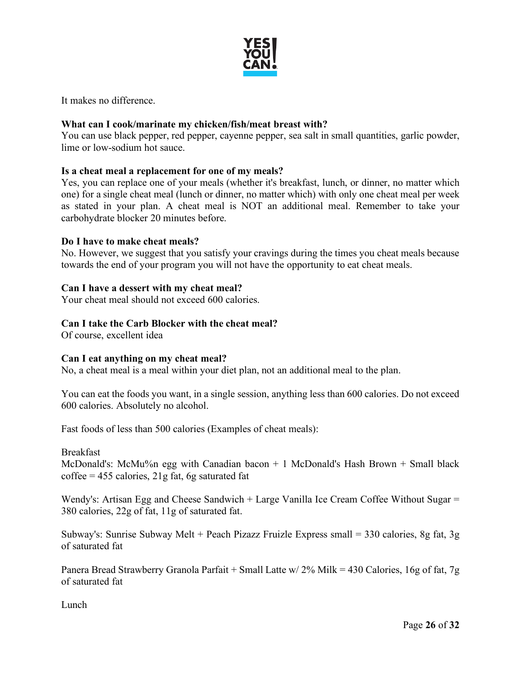

It makes no difference.

# **What can I cook/marinate my chicken/fish/meat breast with?**

You can use black pepper, red pepper, cayenne pepper, sea salt in small quantities, garlic powder, lime or low-sodium hot sauce.

# **Is a cheat meal a replacement for one of my meals?**

Yes, you can replace one of your meals (whether it's breakfast, lunch, or dinner, no matter which one) for a single cheat meal (lunch or dinner, no matter which) with only one cheat meal per week as stated in your plan. A cheat meal is NOT an additional meal. Remember to take your carbohydrate blocker 20 minutes before.

### **Do I have to make cheat meals?**

No. However, we suggest that you satisfy your cravings during the times you cheat meals because towards the end of your program you will not have the opportunity to eat cheat meals.

### **Can I have a dessert with my cheat meal?**

Your cheat meal should not exceed 600 calories.

# **Can I take the Carb Blocker with the cheat meal?**

Of course, excellent idea

### **Can I eat anything on my cheat meal?**

No, a cheat meal is a meal within your diet plan, not an additional meal to the plan.

You can eat the foods you want, in a single session, anything less than 600 calories. Do not exceed 600 calories. Absolutely no alcohol.

Fast foods of less than 500 calories (Examples of cheat meals):

Breakfast

McDonald's: McMu%n egg with Canadian bacon + 1 McDonald's Hash Brown + Small black  $\text{cofree} = 455 \text{ calories}, 21 \text{g fat}, 6 \text{g saturated fat}$ 

Wendy's: Artisan Egg and Cheese Sandwich + Large Vanilla Ice Cream Coffee Without Sugar = 380 calories, 22g of fat, 11g of saturated fat.

Subway's: Sunrise Subway Melt + Peach Pizazz Fruizle Express small = 330 calories, 8g fat, 3g of saturated fat

Panera Bread Strawberry Granola Parfait + Small Latte w/ 2% Milk = 430 Calories, 16g of fat, 7g of saturated fat

**Lunch**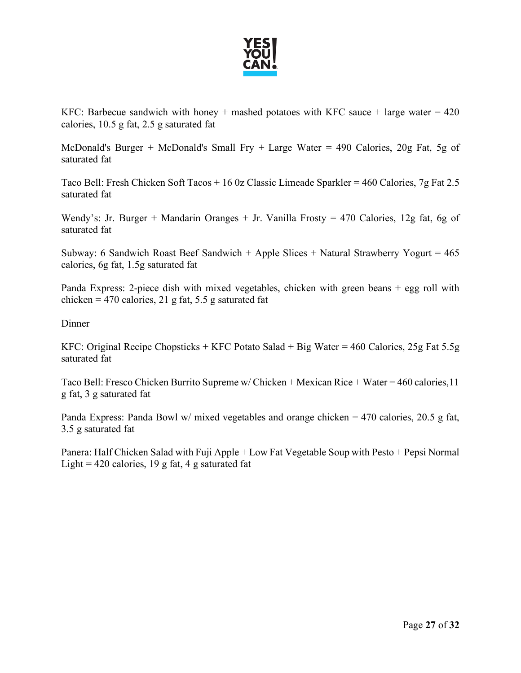

KFC: Barbecue sandwich with honey + mashed potatoes with KFC sauce + large water =  $420$ calories, 10.5 g fat, 2.5 g saturated fat

McDonald's Burger + McDonald's Small Fry + Large Water = 490 Calories, 20g Fat, 5g of saturated fat

Taco Bell: Fresh Chicken Soft Tacos + 16 0z Classic Limeade Sparkler = 460 Calories, 7g Fat 2.5 saturated fat

Wendy's: Jr. Burger + Mandarin Oranges + Jr. Vanilla Frosty = 470 Calories, 12g fat, 6g of saturated fat

Subway: 6 Sandwich Roast Beef Sandwich + Apple Slices + Natural Strawberry Yogurt =  $465$ calories, 6g fat, 1.5g saturated fat

Panda Express: 2-piece dish with mixed vegetables, chicken with green beans + egg roll with chicken = 470 calories, 21 g fat, 5.5 g saturated fat

Dinner

KFC: Original Recipe Chopsticks + KFC Potato Salad + Big Water = 460 Calories, 25g Fat 5.5g saturated fat

Taco Bell: Fresco Chicken Burrito Supreme w/ Chicken + Mexican Rice + Water = 460 calories,11 g fat, 3 g saturated fat

Panda Express: Panda Bowl w/ mixed vegetables and orange chicken = 470 calories, 20.5 g fat, 3.5 g saturated fat

Panera: Half Chicken Salad with Fuji Apple + Low Fat Vegetable Soup with Pesto + Pepsi Normal Light = 420 calories, 19 g fat, 4 g saturated fat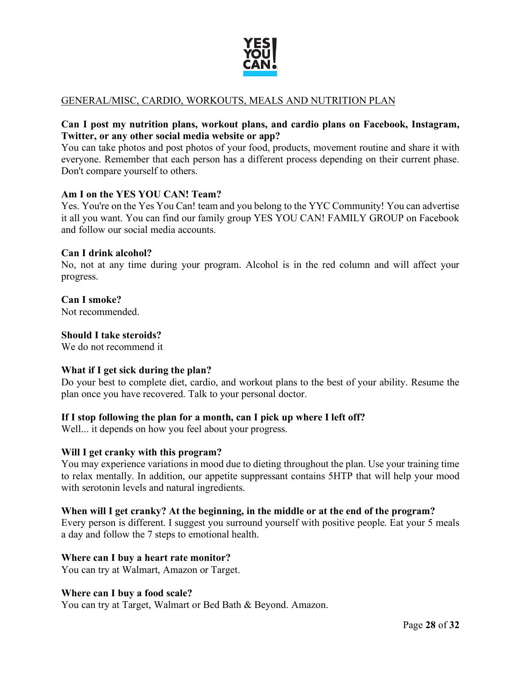

# GENERAL/MISC, CARDIO, WORKOUTS, MEALS AND NUTRITION PLAN

### **Can I post my nutrition plans, workout plans, and cardio plans on Facebook, Instagram, Twitter, or any other social media website or app?**

You can take photos and post photos of your food, products, movement routine and share it with everyone. Remember that each person has a different process depending on their current phase. Don't compare yourself to others.

### **Am I on the YES YOU CAN! Team?**

Yes. You're on the Yes You Can! team and you belong to the YYC Community! You can advertise it all you want. You can find our family group YES YOU CAN! FAMILY GROUP on Facebook and follow our social media accounts.

#### **Can I drink alcohol?**

No, not at any time during your program. Alcohol is in the red column and will affect your progress.

# **Can I smoke?**

Not recommended.

#### **Should I take steroids?**

We do not recommend it

### **What if I get sick during the plan?**

Do your best to complete diet, cardio, and workout plans to the best of your ability. Resume the plan once you have recovered. Talk to your personal doctor.

### **If I stop following the plan for a month, can I pick up where I left off?**

Well... it depends on how you feel about your progress.

### **Will I get cranky with this program?**

You may experience variations in mood due to dieting throughout the plan. Use your training time to relax mentally. In addition, our appetite suppressant contains 5HTP that will help your mood with serotonin levels and natural ingredients.

### **When will I get cranky? At the beginning, in the middle or at the end of the program?**

Every person is different. I suggest you surround yourself with positive people. Eat your 5 meals a day and follow the 7 steps to emotional health.

#### **Where can I buy a heart rate monitor?**

You can try at Walmart, Amazon or Target.

#### **Where can I buy a food scale?**

You can try at Target, Walmart or Bed Bath & Beyond. Amazon.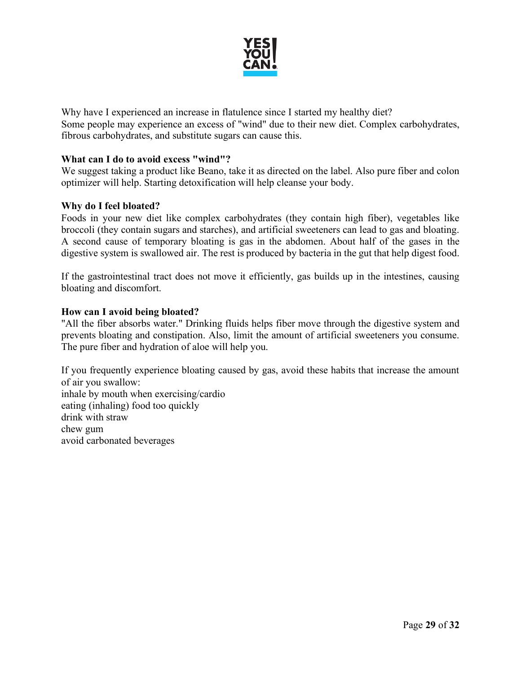

Why have I experienced an increase in flatulence since I started my healthy diet? Some people may experience an excess of "wind" due to their new diet. Complex carbohydrates, fibrous carbohydrates, and substitute sugars can cause this.

### **What can I do to avoid excess "wind"?**

We suggest taking a product like Beano, take it as directed on the label. Also pure fiber and colon optimizer will help. Starting detoxification will help cleanse your body.

### **Why do I feel bloated?**

Foods in your new diet like complex carbohydrates (they contain high fiber), vegetables like broccoli (they contain sugars and starches), and artificial sweeteners can lead to gas and bloating. A second cause of temporary bloating is gas in the abdomen. About half of the gases in the digestive system is swallowed air. The rest is produced by bacteria in the gut that help digest food.

If the gastrointestinal tract does not move it efficiently, gas builds up in the intestines, causing bloating and discomfort.

#### **How can I avoid being bloated?**

"All the fiber absorbs water." Drinking fluids helps fiber move through the digestive system and prevents bloating and constipation. Also, limit the amount of artificial sweeteners you consume. The pure fiber and hydration of aloe will help you.

If you frequently experience bloating caused by gas, avoid these habits that increase the amount of air you swallow: inhale by mouth when exercising/cardio eating (inhaling) food too quickly drink with straw chew gum avoid carbonated beverages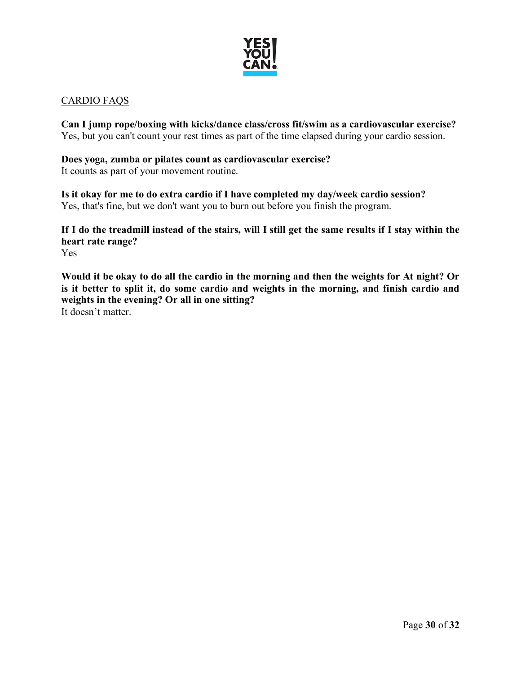

# CARDIO FAQS

**Can I jump rope/boxing with kicks/dance class/cross fit/swim as a cardiovascular exercise?**  Yes, but you can't count your rest times as part of the time elapsed during your cardio session.

# **Does yoga, zumba or pilates count as cardiovascular exercise?**

It counts as part of your movement routine.

**Is it okay for me to do extra cardio if I have completed my day/week cardio session?** Yes, that's fine, but we don't want you to burn out before you finish the program.

**If I do the treadmill instead of the stairs, will I still get the same results if I stay within the heart rate range?**  Yes

**Would it be okay to do all the cardio in the morning and then the weights for At night? Or is it better to split it, do some cardio and weights in the morning, and finish cardio and weights in the evening? Or all in one sitting?**

It doesn't matter.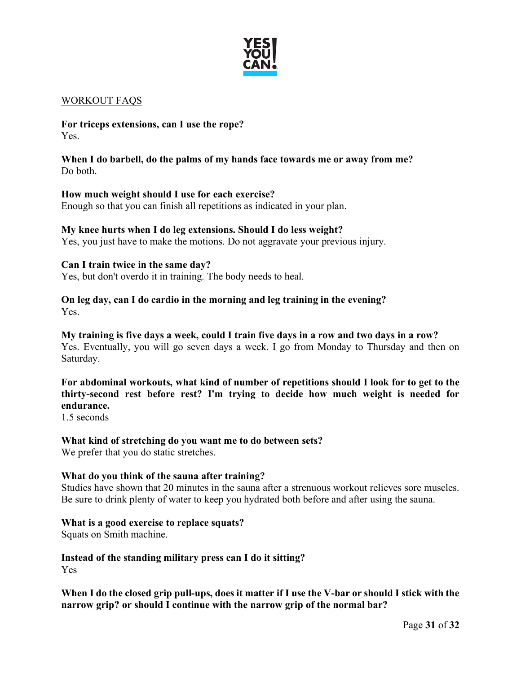

### WORKOUT FAQS

**For triceps extensions, can I use the rope?** Yes.

**When I do barbell, do the palms of my hands face towards me or away from me?** Do both.

#### **How much weight should I use for each exercise?**

Enough so that you can finish all repetitions as indicated in your plan.

#### **My knee hurts when I do leg extensions. Should I do less weight?**

Yes, you just have to make the motions. Do not aggravate your previous injury.

### **Can I train twice in the same day?**

Yes, but don't overdo it in training. The body needs to heal.

#### **On leg day, can I do cardio in the morning and leg training in the evening?** Yes.

**My training is five days a week, could I train five days in a row and two days in a row?** Yes. Eventually, you will go seven days a week. I go from Monday to Thursday and then on Saturday.

**For abdominal workouts, what kind of number of repetitions should I look for to get to the thirty-second rest before rest? I'm trying to decide how much weight is needed for endurance.** 

1.5 seconds

#### **What kind of stretching do you want me to do between sets?**

We prefer that you do static stretches.

#### **What do you think of the sauna after training?**

Studies have shown that 20 minutes in the sauna after a strenuous workout relieves sore muscles. Be sure to drink plenty of water to keep you hydrated both before and after using the sauna.

#### **What is a good exercise to replace squats?**

Squats on Smith machine.

**Instead of the standing military press can I do it sitting?** Yes

**When I do the closed grip pull-ups, does it matter if I use the V-bar or should I stick with the narrow grip? or should I continue with the narrow grip of the normal bar?**